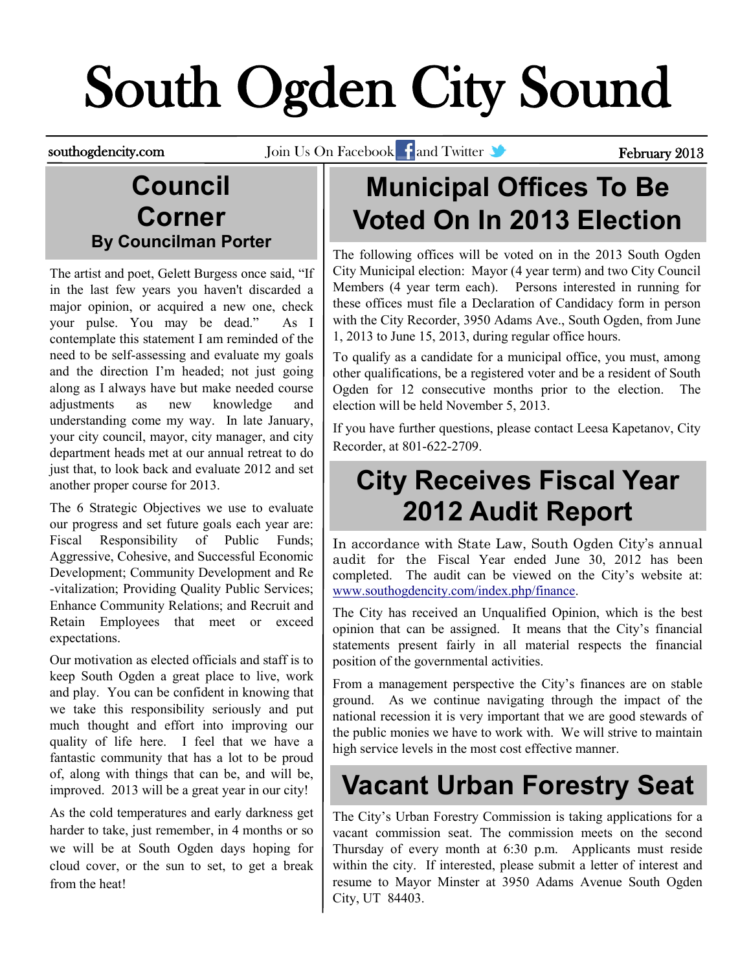# South Ogden City Sound

southogdencity.com Join Us On Facebook and Twitter State of Tebruary 2013

#### **Council Corner By Councilman Porter**

The artist and poet, Gelett Burgess once said, "If in the last few years you haven't discarded a major opinion, or acquired a new one, check your pulse. You may be dead." As I contemplate this statement I am reminded of the need to be self-assessing and evaluate my goals and the direction I'm headed; not just going along as I always have but make needed course adjustments as new knowledge and understanding come my way. In late January, your city council, mayor, city manager, and city department heads met at our annual retreat to do just that, to look back and evaluate 2012 and set another proper course for 2013.

The 6 Strategic Objectives we use to evaluate our progress and set future goals each year are: Fiscal Responsibility of Public Funds; Aggressive, Cohesive, and Successful Economic Development; Community Development and Re -vitalization; Providing Quality Public Services; Enhance Community Relations; and Recruit and Retain Employees that meet or exceed expectations.

Our motivation as elected officials and staff is to keep South Ogden a great place to live, work and play. You can be confident in knowing that we take this responsibility seriously and put much thought and effort into improving our quality of life here. I feel that we have a fantastic community that has a lot to be proud of, along with things that can be, and will be, improved. 2013 will be a great year in our city!

As the cold temperatures and early darkness get harder to take, just remember, in 4 months or so we will be at South Ogden days hoping for cloud cover, or the sun to set, to get a break from the heat!

# **Municipal Offices To Be Voted On In 2013 Election**

The following offices will be voted on in the 2013 South Ogden City Municipal election: Mayor (4 year term) and two City Council Members (4 year term each). Persons interested in running for these offices must file a Declaration of Candidacy form in person with the City Recorder, 3950 Adams Ave., South Ogden, from June 1, 2013 to June 15, 2013, during regular office hours.

To qualify as a candidate for a municipal office, you must, among other qualifications, be a registered voter and be a resident of South Ogden for 12 consecutive months prior to the election. The election will be held November 5, 2013.

If you have further questions, please contact Leesa Kapetanov, City Recorder, at 801-622-2709.

#### **City Receives Fiscal Year 2012 Audit Report**

In accordance with State Law, South Ogden City's annual audit for the Fiscal Year ended June 30, 2012 has been completed. The audit can be viewed on the City's website at: [www.southogdencity.com/index.php/finance.](http://www.southogdencity.com/index.php/finance)

The City has received an Unqualified Opinion, which is the best opinion that can be assigned. It means that the City's financial statements present fairly in all material respects the financial position of the governmental activities.

From a management perspective the City's finances are on stable ground. As we continue navigating through the impact of the national recession it is very important that we are good stewards of the public monies we have to work with. We will strive to maintain high service levels in the most cost effective manner.

### **Vacant Urban Forestry Seat**

The City's Urban Forestry Commission is taking applications for a vacant commission seat. The commission meets on the second Thursday of every month at 6:30 p.m. Applicants must reside within the city. If interested, please submit a letter of interest and resume to Mayor Minster at 3950 Adams Avenue South Ogden City, UT 84403.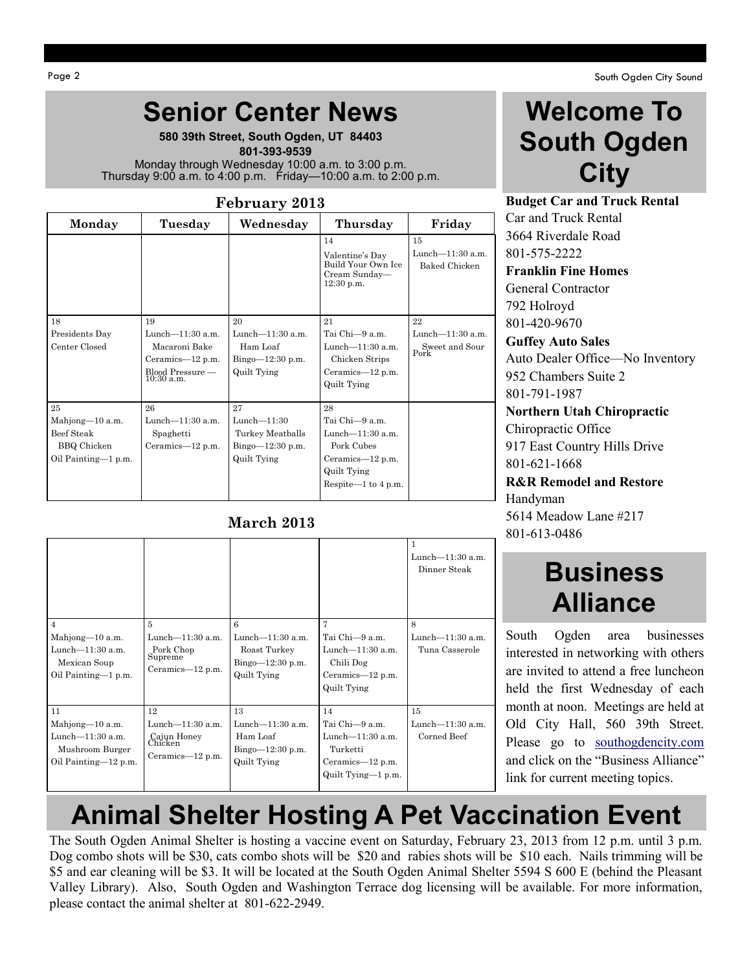Page 2 South Ogden City Sound

#### **Senior Center News**

**580 39th Street, South Ogden, UT 84403**  **801-393-9539** Monday through Wednesday 10:00 a.m. to 3:00 p.m. Thursday 9:00 a.m. to 4:00 p.m. Friday—10:00 a.m. to 2:00 p.m.

#### **February 2013**

| Monday              | Tuesday                                                               | Wednesday                                      | Thursday                                                                     | Friday                                         |
|---------------------|-----------------------------------------------------------------------|------------------------------------------------|------------------------------------------------------------------------------|------------------------------------------------|
|                     |                                                                       |                                                | 14<br>Valentine's Day<br>Build Your Own Ice<br>Cream Sunday-<br>$12:30$ p.m. | 15<br>Lunch-11:30 a.m.<br><b>Baked Chicken</b> |
| 18                  | 19                                                                    | 20                                             | 21                                                                           | 22                                             |
| Presidents Day      | Lunch $-11:30$ a.m.                                                   | Lunch $-11:30$ a.m.                            | Tai Chi-9 a.m.                                                               | Lunch-11:30 a.m.                               |
| Center Closed       | Macaroni Bake<br>Ceramics-12 p.m.<br>Blood Pressure —<br>$10:30$ a.m. | Ham Loaf<br>Bingo $-12:30$ p.m.<br>Quilt Tying | Lunch- $11:30$ a.m.<br>Chicken Strips<br>Ceramics-12 p.m.<br>Quilt Tying     | Sweet and Sour<br>Pork                         |
| 25                  | 26                                                                    | 27                                             | 28                                                                           |                                                |
| Mahjong-10 a.m.     | Lunch- $11:30$ a.m.                                                   | Lunch $-11:30$                                 | Tai Chi-9 a.m.                                                               |                                                |
| Beef Steak          | Spaghetti                                                             | Turkey Meatballs                               | Lunch $-11:30$ a.m.                                                          |                                                |
| <b>BBQ</b> Chicken  | Ceramics-12 p.m.                                                      | Bingo $-12:30$ p.m.                            | Pork Cubes                                                                   |                                                |
| Oil Painting-1 p.m. |                                                                       | Quilt Tying                                    | Ceramics-12 p.m.                                                             |                                                |
|                     |                                                                       |                                                | Quilt Tying                                                                  |                                                |
|                     |                                                                       |                                                | Respite— $1$ to $4$ p.m.                                                     |                                                |

#### **March 2013**

| $\overline{4}$<br>Mahjong-10 a.m.<br>Lunch- $11:30$ a.m.<br>Mexican Soup<br>Oil Painting-1 p.m. | 5<br>Lunch $-11:30$ a.m.<br>Pork Chop<br>Supreme<br>Ceramics-12 p.m.    | 6<br>Lunch $-11:30$ a.m.<br>Roast Turkey<br>Bingo $-12:30$ p.m.<br>Quilt Tying | 7<br>Tai Chi-9 a.m.<br>Lunch $-11:30$ a.m.<br>Chili Dog<br>Ceramics— $12$ p.m.<br>Quilt Tying     | Lunch $-11:30$ a.m.<br>Dinner Steak<br>8<br>Lunch-11:30 a.m.<br>Tuna Casserole |
|-------------------------------------------------------------------------------------------------|-------------------------------------------------------------------------|--------------------------------------------------------------------------------|---------------------------------------------------------------------------------------------------|--------------------------------------------------------------------------------|
| 11<br>Mahjong-10 a.m.<br>Lunch $-11:30$ a.m.<br>Mushroom Burger<br>Oil Painting-12 p.m.         | 12<br>Lunch $-11:30$ a.m.<br>Cajun Honey<br>Chicken<br>Ceramics-12 p.m. | 13<br>Lunch $-11:30$ a.m.<br>Ham Loaf<br>$Bingo=12:30 p.m.$<br>Quilt Tying     | 14<br>Tai Chi-9 a.m.<br>Lunch $-11:30$ a.m.<br>Turketti<br>Ceramics—12 p.m.<br>Quilt Tying-1 p.m. | 15<br>Lunch $-11:30$ a.m.<br>Corned Beef                                       |

#### **Welcome To South Ogden City**

**Budget Car and Truck Rental** Car and Truck Rental 3664 Riverdale Road 801-575-2222

**Franklin Fine Homes** General Contractor 792 Holroyd 801-420-9670

**Guffey Auto Sales** Auto Dealer Office—No Inventory 952 Chambers Suite 2 801-791-1987

**Northern Utah Chiropractic** Chiropractic Office 917 East Country Hills Drive 801-621-1668

**R&R Remodel and Restore** Handyman 5614 Meadow Lane #217 801-613-0486

#### **Business Alliance**

South Ogden area businesses interested in networking with others are invited to attend a free luncheon held the first Wednesday of each month at noon. Meetings are held at Old City Hall, 560 39th Street. Please go to [southogdencity.com](http://www.southogdencity.com/) and click on the "Business Alliance" link for current meeting topics.

#### **Animal Shelter Hosting A Pet Vaccination Event**

The South Ogden Animal Shelter is hosting a vaccine event on Saturday, February 23, 2013 from 12 p.m. until 3 p.m. Dog combo shots will be \$30, cats combo shots will be \$20 and rabies shots will be \$10 each. Nails trimming will be \$5 and ear cleaning will be \$3. It will be located at the South Ogden Animal Shelter 5594 S 600 E (behind the Pleasant Valley Library). Also, South Ogden and Washington Terrace dog licensing will be available. For more information, please contact the animal shelter at 801-622-2949.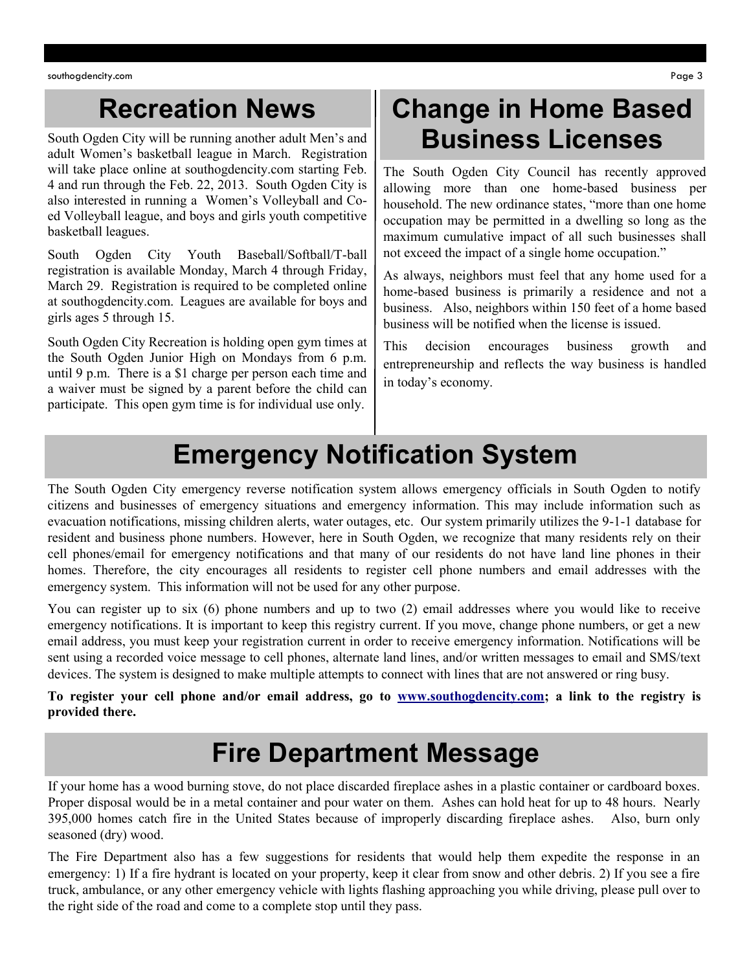#### **Recreation News**

South Ogden City will be running another adult Men's and adult Women's basketball league in March. Registration will take place online at southogdencity.com starting Feb. 4 and run through the Feb. 22, 2013. South Ogden City is also interested in running a Women's Volleyball and Coed Volleyball league, and boys and girls youth competitive basketball leagues.

South Ogden City Youth Baseball/Softball/T-ball registration is available Monday, March 4 through Friday, March 29. Registration is required to be completed online at southogdencity.com. Leagues are available for boys and girls ages 5 through 15.

South Ogden City Recreation is holding open gym times at the South Ogden Junior High on Mondays from 6 p.m. until 9 p.m. There is a \$1 charge per person each time and a waiver must be signed by a parent before the child can participate. This open gym time is for individual use only.

#### **Change in Home Based Business Licenses**

The South Ogden City Council has recently approved allowing more than one home-based business per household. The new ordinance states, "more than one home occupation may be permitted in a dwelling so long as the maximum cumulative impact of all such businesses shall not exceed the impact of a single home occupation."

As always, neighbors must feel that any home used for a home-based business is primarily a residence and not a business. Also, neighbors within 150 feet of a home based business will be notified when the license is issued.

This decision encourages business growth and entrepreneurship and reflects the way business is handled in today's economy.

#### **Emergency Notification System**

The South Ogden City emergency reverse notification system allows emergency officials in South Ogden to notify citizens and businesses of emergency situations and emergency information. This may include information such as evacuation notifications, missing children alerts, water outages, etc. Our system primarily utilizes the 9-1-1 database for resident and business phone numbers. However, here in South Ogden, we recognize that many residents rely on their cell phones/email for emergency notifications and that many of our residents do not have land line phones in their homes. Therefore, the city encourages all residents to register cell phone numbers and email addresses with the emergency system. This information will not be used for any other purpose.

You can register up to six (6) phone numbers and up to two (2) email addresses where you would like to receive emergency notifications. It is important to keep this registry current. If you move, change phone numbers, or get a new email address, you must keep your registration current in order to receive emergency information. Notifications will be sent using a recorded voice message to cell phones, alternate land lines, and/or written messages to email and SMS/text devices. The system is designed to make multiple attempts to connect with lines that are not answered or ring busy.

**To register your cell phone and/or email address, go to [www.southogdencity.com;](http://www.southogdencity.com) a link to the registry is provided there.** 

#### **Fire Department Message**

If your home has a wood burning stove, do not place discarded fireplace ashes in a plastic container or cardboard boxes. Proper disposal would be in a metal container and pour water on them. Ashes can hold heat for up to 48 hours. Nearly 395,000 homes catch fire in the United States because of improperly discarding fireplace ashes. Also, burn only seasoned (dry) wood.

The Fire Department also has a few suggestions for residents that would help them expedite the response in an emergency: 1) If a fire hydrant is located on your property, keep it clear from snow and other debris. 2) If you see a fire truck, ambulance, or any other emergency vehicle with lights flashing approaching you while driving, please pull over to the right side of the road and come to a complete stop until they pass.